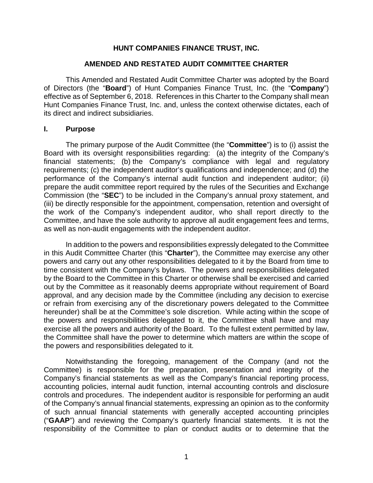### **HUNT COMPANIES FINANCE TRUST, INC.**

#### **AMENDED AND RESTATED AUDIT COMMITTEE CHARTER**

This Amended and Restated Audit Committee Charter was adopted by the Board of Directors (the "**Board**") of Hunt Companies Finance Trust, Inc. (the "**Company**") effective as of September 6, 2018. References in this Charter to the Company shall mean Hunt Companies Finance Trust, Inc. and, unless the context otherwise dictates, each of its direct and indirect subsidiaries.

#### **I. Purpose**

The primary purpose of the Audit Committee (the "**Committee**") is to (i) assist the Board with its oversight responsibilities regarding: (a) the integrity of the Company's financial statements; (b) the Company's compliance with legal and regulatory requirements; (c) the independent auditor's qualifications and independence; and (d) the performance of the Company's internal audit function and independent auditor; (ii) prepare the audit committee report required by the rules of the Securities and Exchange Commission (the "**SEC**") to be included in the Company's annual proxy statement, and (iii) be directly responsible for the appointment, compensation, retention and oversight of the work of the Company's independent auditor, who shall report directly to the Committee, and have the sole authority to approve all audit engagement fees and terms, as well as non-audit engagements with the independent auditor.

In addition to the powers and responsibilities expressly delegated to the Committee in this Audit Committee Charter (this "**Charter**"), the Committee may exercise any other powers and carry out any other responsibilities delegated to it by the Board from time to time consistent with the Company's bylaws. The powers and responsibilities delegated by the Board to the Committee in this Charter or otherwise shall be exercised and carried out by the Committee as it reasonably deems appropriate without requirement of Board approval, and any decision made by the Committee (including any decision to exercise or refrain from exercising any of the discretionary powers delegated to the Committee hereunder) shall be at the Committee's sole discretion. While acting within the scope of the powers and responsibilities delegated to it, the Committee shall have and may exercise all the powers and authority of the Board. To the fullest extent permitted by law, the Committee shall have the power to determine which matters are within the scope of the powers and responsibilities delegated to it.

Notwithstanding the foregoing, management of the Company (and not the Committee) is responsible for the preparation, presentation and integrity of the Company's financial statements as well as the Company's financial reporting process, accounting policies, internal audit function, internal accounting controls and disclosure controls and procedures. The independent auditor is responsible for performing an audit of the Company's annual financial statements, expressing an opinion as to the conformity of such annual financial statements with generally accepted accounting principles ("**GAAP**") and reviewing the Company's quarterly financial statements. It is not the responsibility of the Committee to plan or conduct audits or to determine that the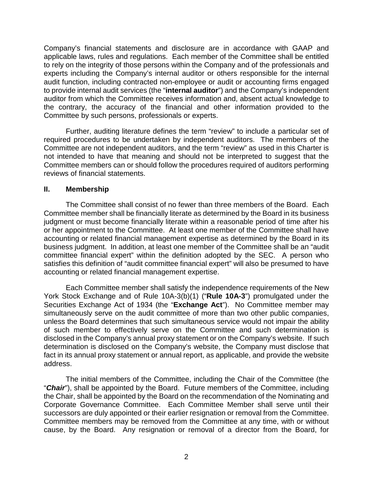Company's financial statements and disclosure are in accordance with GAAP and applicable laws, rules and regulations. Each member of the Committee shall be entitled to rely on the integrity of those persons within the Company and of the professionals and experts including the Company's internal auditor or others responsible for the internal audit function, including contracted non-employee or audit or accounting firms engaged to provide internal audit services (the "**internal auditor**") and the Company's independent auditor from which the Committee receives information and, absent actual knowledge to the contrary, the accuracy of the financial and other information provided to the Committee by such persons, professionals or experts.

Further, auditing literature defines the term "review" to include a particular set of required procedures to be undertaken by independent auditors. The members of the Committee are not independent auditors, and the term "review" as used in this Charter is not intended to have that meaning and should not be interpreted to suggest that the Committee members can or should follow the procedures required of auditors performing reviews of financial statements.

### **II. Membership**

The Committee shall consist of no fewer than three members of the Board. Each Committee member shall be financially literate as determined by the Board in its business judgment or must become financially literate within a reasonable period of time after his or her appointment to the Committee. At least one member of the Committee shall have accounting or related financial management expertise as determined by the Board in its business judgment. In addition, at least one member of the Committee shall be an "audit committee financial expert" within the definition adopted by the SEC. A person who satisfies this definition of "audit committee financial expert" will also be presumed to have accounting or related financial management expertise.

Each Committee member shall satisfy the independence requirements of the New York Stock Exchange and of Rule 10A-3(b)(1) ("**Rule 10A-3**") promulgated under the Securities Exchange Act of 1934 (the "**Exchange Act**"). No Committee member may simultaneously serve on the audit committee of more than two other public companies, unless the Board determines that such simultaneous service would not impair the ability of such member to effectively serve on the Committee and such determination is disclosed in the Company's annual proxy statement or on the Company's website. If such determination is disclosed on the Company's website, the Company must disclose that fact in its annual proxy statement or annual report, as applicable, and provide the website address.

The initial members of the Committee, including the Chair of the Committee (the "*Chair*"), shall be appointed by the Board. Future members of the Committee, including the Chair, shall be appointed by the Board on the recommendation of the Nominating and Corporate Governance Committee. Each Committee Member shall serve until their successors are duly appointed or their earlier resignation or removal from the Committee. Committee members may be removed from the Committee at any time, with or without cause, by the Board. Any resignation or removal of a director from the Board, for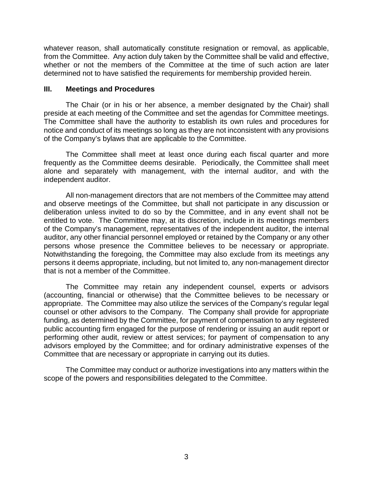whatever reason, shall automatically constitute resignation or removal, as applicable, from the Committee. Any action duly taken by the Committee shall be valid and effective, whether or not the members of the Committee at the time of such action are later determined not to have satisfied the requirements for membership provided herein.

### **III. Meetings and Procedures**

The Chair (or in his or her absence, a member designated by the Chair) shall preside at each meeting of the Committee and set the agendas for Committee meetings. The Committee shall have the authority to establish its own rules and procedures for notice and conduct of its meetings so long as they are not inconsistent with any provisions of the Company's bylaws that are applicable to the Committee.

The Committee shall meet at least once during each fiscal quarter and more frequently as the Committee deems desirable. Periodically, the Committee shall meet alone and separately with management, with the internal auditor, and with the independent auditor.

All non-management directors that are not members of the Committee may attend and observe meetings of the Committee, but shall not participate in any discussion or deliberation unless invited to do so by the Committee, and in any event shall not be entitled to vote. The Committee may, at its discretion, include in its meetings members of the Company's management, representatives of the independent auditor, the internal auditor, any other financial personnel employed or retained by the Company or any other persons whose presence the Committee believes to be necessary or appropriate. Notwithstanding the foregoing, the Committee may also exclude from its meetings any persons it deems appropriate, including, but not limited to, any non-management director that is not a member of the Committee.

The Committee may retain any independent counsel, experts or advisors (accounting, financial or otherwise) that the Committee believes to be necessary or appropriate. The Committee may also utilize the services of the Company's regular legal counsel or other advisors to the Company. The Company shall provide for appropriate funding, as determined by the Committee, for payment of compensation to any registered public accounting firm engaged for the purpose of rendering or issuing an audit report or performing other audit, review or attest services; for payment of compensation to any advisors employed by the Committee; and for ordinary administrative expenses of the Committee that are necessary or appropriate in carrying out its duties.

The Committee may conduct or authorize investigations into any matters within the scope of the powers and responsibilities delegated to the Committee.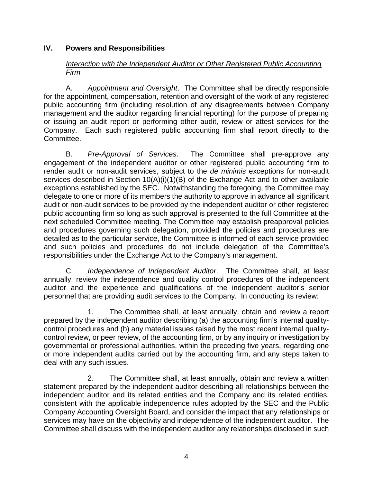### **IV. Powers and Responsibilities**

### *Interaction with the Independent Auditor or Other Registered Public Accounting Firm*

A. *Appointment and Oversight*. The Committee shall be directly responsible for the appointment, compensation, retention and oversight of the work of any registered public accounting firm (including resolution of any disagreements between Company management and the auditor regarding financial reporting) for the purpose of preparing or issuing an audit report or performing other audit, review or attest services for the Company. Each such registered public accounting firm shall report directly to the Committee.

B. *Pre-Approval of Services*. The Committee shall pre-approve any engagement of the independent auditor or other registered public accounting firm to render audit or non-audit services, subject to the *de minimis* exceptions for non-audit services described in Section 10(A)(i)(1)(B) of the Exchange Act and to other available exceptions established by the SEC. Notwithstanding the foregoing, the Committee may delegate to one or more of its members the authority to approve in advance all significant audit or non-audit services to be provided by the independent auditor or other registered public accounting firm so long as such approval is presented to the full Committee at the next scheduled Committee meeting. The Committee may establish preapproval policies and procedures governing such delegation, provided the policies and procedures are detailed as to the particular service, the Committee is informed of each service provided and such policies and procedures do not include delegation of the Committee's responsibilities under the Exchange Act to the Company's management.

C. *Independence of Independent Auditor*. The Committee shall, at least annually, review the independence and quality control procedures of the independent auditor and the experience and qualifications of the independent auditor's senior personnel that are providing audit services to the Company. In conducting its review:

1. The Committee shall, at least annually, obtain and review a report prepared by the independent auditor describing (a) the accounting firm's internal qualitycontrol procedures and (b) any material issues raised by the most recent internal qualitycontrol review, or peer review, of the accounting firm, or by any inquiry or investigation by governmental or professional authorities, within the preceding five years, regarding one or more independent audits carried out by the accounting firm, and any steps taken to deal with any such issues.

2. The Committee shall, at least annually, obtain and review a written statement prepared by the independent auditor describing all relationships between the independent auditor and its related entities and the Company and its related entities, consistent with the applicable independence rules adopted by the SEC and the Public Company Accounting Oversight Board, and consider the impact that any relationships or services may have on the objectivity and independence of the independent auditor. The Committee shall discuss with the independent auditor any relationships disclosed in such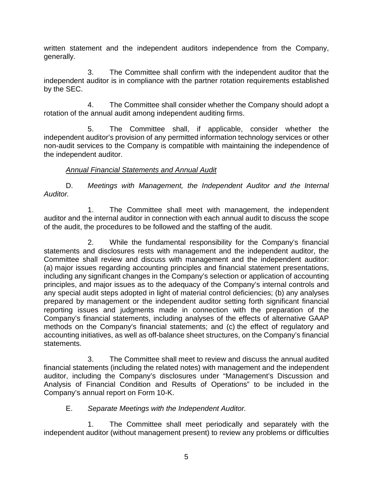written statement and the independent auditors independence from the Company, generally.

3. The Committee shall confirm with the independent auditor that the independent auditor is in compliance with the partner rotation requirements established by the SEC.

4. The Committee shall consider whether the Company should adopt a rotation of the annual audit among independent auditing firms.

5. The Committee shall, if applicable, consider whether the independent auditor's provision of any permitted information technology services or other non-audit services to the Company is compatible with maintaining the independence of the independent auditor.

## *Annual Financial Statements and Annual Audit*

D. Meetings with Management, the Independent Auditor and the Internal *Auditor.*

1. The Committee shall meet with management, the independent auditor and the internal auditor in connection with each annual audit to discuss the scope of the audit, the procedures to be followed and the staffing of the audit.

2. While the fundamental responsibility for the Company's financial statements and disclosures rests with management and the independent auditor, the Committee shall review and discuss with management and the independent auditor: (a) major issues regarding accounting principles and financial statement presentations, including any significant changes in the Company's selection or application of accounting principles, and major issues as to the adequacy of the Company's internal controls and any special audit steps adopted in light of material control deficiencies; (b) any analyses prepared by management or the independent auditor setting forth significant financial reporting issues and judgments made in connection with the preparation of the Company's financial statements, including analyses of the effects of alternative GAAP methods on the Company's financial statements; and (c) the effect of regulatory and accounting initiatives, as well as off-balance sheet structures, on the Company's financial statements.

3. The Committee shall meet to review and discuss the annual audited financial statements (including the related notes) with management and the independent auditor, including the Company's disclosures under "Management's Discussion and Analysis of Financial Condition and Results of Operations" to be included in the Company's annual report on Form 10-K.

# E. *Separate Meetings with the Independent Auditor.*

1. The Committee shall meet periodically and separately with the independent auditor (without management present) to review any problems or difficulties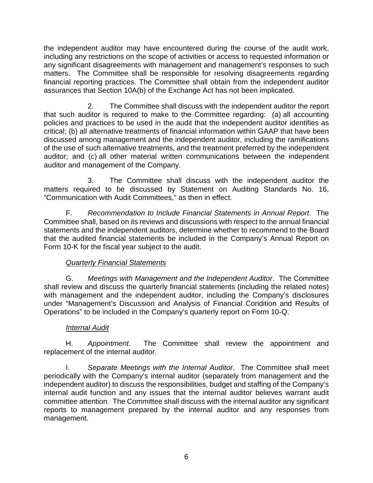the independent auditor may have encountered during the course of the audit work, including any restrictions on the scope of activities or access to requested information or any significant disagreements with management and management's responses to such matters. The Committee shall be responsible for resolving disagreements regarding financial reporting practices. The Committee shall obtain from the independent auditor assurances that Section 10A(b) of the Exchange Act has not been implicated.

2. The Committee shall discuss with the independent auditor the report that such auditor is required to make to the Committee regarding: (a) all accounting policies and practices to be used in the audit that the independent auditor identifies as critical; (b) all alternative treatments of financial information within GAAP that have been discussed among management and the independent auditor, including the ramifications of the use of such alternative treatments, and the treatment preferred by the independent auditor; and (c) all other material written communications between the independent auditor and management of the Company.

3. The Committee shall discuss with the independent auditor the matters required to be discussed by Statement on Auditing Standards No. 16, "Communication with Audit Committees," as then in effect.

F. *Recommendation to Include Financial Statements in Annual Report*. The Committee shall, based on its reviews and discussions with respect to the annual financial statements and the independent auditors, determine whether to recommend to the Board that the audited financial statements be included in the Company's Annual Report on Form 10-K for the fiscal year subject to the audit.

## *Quarterly Financial Statements*

G. *Meetings with Management and the Independent Auditor*. The Committee shall review and discuss the quarterly financial statements (including the related notes) with management and the independent auditor, including the Company's disclosures under "Management's Discussion and Analysis of Financial Condition and Results of Operations" to be included in the Company's quarterly report on Form 10-Q.

## *Internal Audit*

H. *Appointment*. The Committee shall review the appointment and replacement of the internal auditor.

I. *Separate Meetings with the Internal Auditor*. The Committee shall meet periodically with the Company's internal auditor (separately from management and the independent auditor) to discuss the responsibilities, budget and staffing of the Company's internal audit function and any issues that the internal auditor believes warrant audit committee attention. The Committee shall discuss with the internal auditor any significant reports to management prepared by the internal auditor and any responses from management.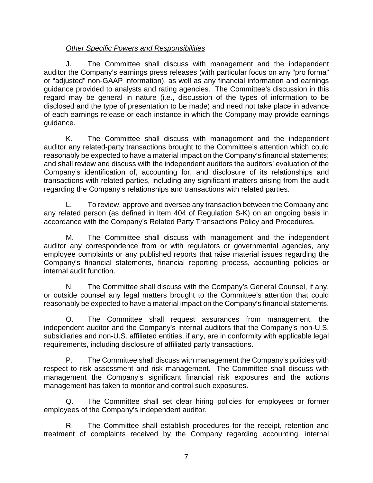# *Other Specific Powers and Responsibilities*

J. The Committee shall discuss with management and the independent auditor the Company's earnings press releases (with particular focus on any "pro forma" or "adjusted" non-GAAP information), as well as any financial information and earnings guidance provided to analysts and rating agencies. The Committee's discussion in this regard may be general in nature (i.e., discussion of the types of information to be disclosed and the type of presentation to be made) and need not take place in advance of each earnings release or each instance in which the Company may provide earnings guidance.

K. The Committee shall discuss with management and the independent auditor any related-party transactions brought to the Committee's attention which could reasonably be expected to have a material impact on the Company's financial statements; and shall review and discuss with the independent auditors the auditors' evaluation of the Company's identification of, accounting for, and disclosure of its relationships and transactions with related parties, including any significant matters arising from the audit regarding the Company's relationships and transactions with related parties.

L. To review, approve and oversee any transaction between the Company and any related person (as defined in Item 404 of Regulation S-K) on an ongoing basis in accordance with the Company's Related Party Transactions Policy and Procedures.

M. The Committee shall discuss with management and the independent auditor any correspondence from or with regulators or governmental agencies, any employee complaints or any published reports that raise material issues regarding the Company's financial statements, financial reporting process, accounting policies or internal audit function.

N. The Committee shall discuss with the Company's General Counsel, if any, or outside counsel any legal matters brought to the Committee's attention that could reasonably be expected to have a material impact on the Company's financial statements.

O. The Committee shall request assurances from management, the independent auditor and the Company's internal auditors that the Company's non-U.S. subsidiaries and non-U.S. affiliated entities, if any, are in conformity with applicable legal requirements, including disclosure of affiliated party transactions.

P. The Committee shall discuss with management the Company's policies with respect to risk assessment and risk management. The Committee shall discuss with management the Company's significant financial risk exposures and the actions management has taken to monitor and control such exposures.

Q. The Committee shall set clear hiring policies for employees or former employees of the Company's independent auditor.

R. The Committee shall establish procedures for the receipt, retention and treatment of complaints received by the Company regarding accounting, internal